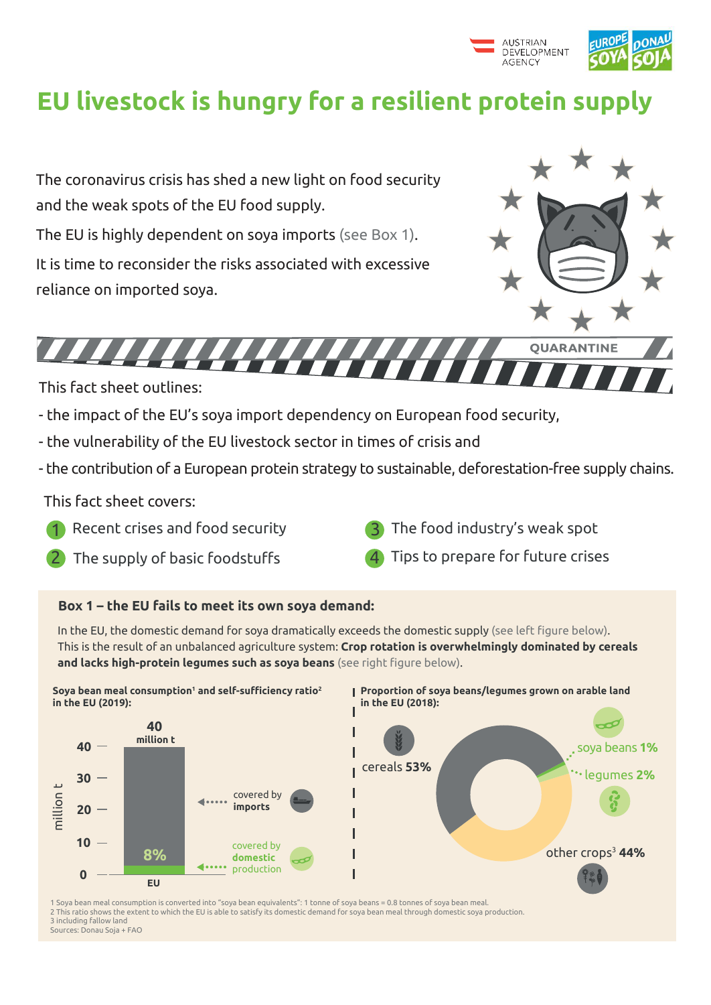

# **EU livestock is hungry for a resilient protein supply**

The coronavirus crisis has shed a new light on food security and the weak spots of the EU food supply.

The EU is highly dependent on soya imports (see Box 1).

It is time to reconsider the risks associated with excessive reliance on imported soya.



**OUARANTI** 

This fact sheet outlines:

- the impact of the EU's soya import dependency on European food security,
- the vulnerability of the EU livestock sector in times of crisis and
- the contribution of a European protein strategy to sustainable, deforestation-free supply chains.

This fact sheet covers:

- Recent crises and food security
- The supply of basic foodstuffs
- The food industry's weak spot
- Tips to prepare for future crises

### **Box 1 – the EU fails to meet its own soya demand:**



**Proportion of soya beans/legumes grown on arable land in the EU (2018):**



**Soya bean meal consumption<sup>1</sup> and self-sufficiency ratio<sup>2</sup> in the EU (2019):**

1 Soya bean meal consumption is converted into "soya bean equivalents": 1 tonne of soya beans = 0.8 tonnes of soya bean meal. 2 This ratio shows the extent to which the EU is able to satisfy its domestic demand for soya bean meal through domestic soya production. 3 including fallow land Sources: Donau Soja + FAO



In the EU, the domestic demand for soya dramatically exceeds the domestic supply (see left figure below). This is the result of an unbalanced agriculture system: **Crop rotation is overwhelmingly dominated by cereals and lacks high-protein legumes such as soya beans** (see right figure below).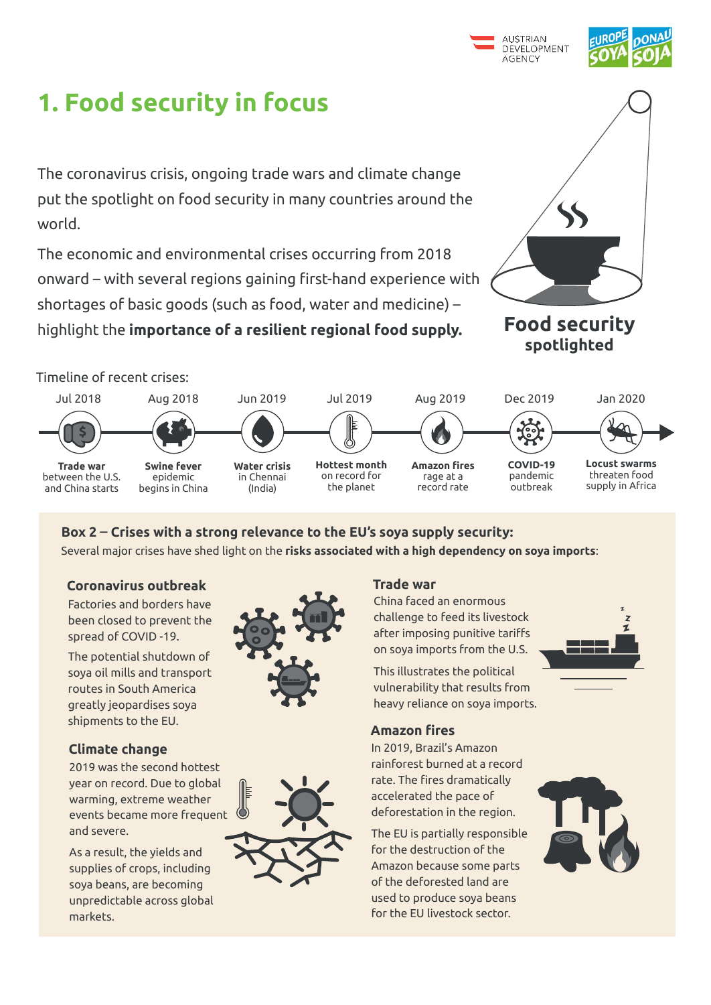



# **1. Food security in focus**

**Food security spotlighted** 

The coronavirus crisis, ongoing trade wars and climate change put the spotlight on food security in many countries around the world.

The economic and environmental crises occurring from 2018 onward – with several regions gaining first-hand experience with shortages of basic goods (such as food, water and medicine) – highlight the **importance of a resilient regional food supply.**



Dec 2019 **COVID-19**  pandemic outbreak Jul 2019 **Hottest month**  on record for the planet Aug 2019 **Amazon fires**  rage at a record rate Jul 2018 **Trade war**  between the U.S. and China starts **\$** Aug 2018 **Swine fever**  epidemic begins in China Jun 2019 **Water crisis** in Chennai (India) Jan 2020 **Locust swarms**  threaten food supply in Africa Timeline of recent crises:

### **Box 2** – **Crises with a strong relevance to the EU's soya supply security:**

In 2019, Brazil's Amazon rainforest burned at a record rate. The fires dramatically accelerated the pace of deforestation in the region.



The EU is partially responsible for the destruction of the Amazon because some parts of the deforested land are used to produce soya beans for the EU livestock sector.



### **Amazon fires**

China faced an enormous challenge to feed its livestock after imposing punitive tariffs on soya imports from the U.S.

This illustrates the political vulnerability that results from heavy reliance on soya imports.

### **Trade war**

Factories and borders have been closed to prevent the spread of COVID -19.

The potential shutdown of soya oil mills and transport routes in South America greatly jeopardises soya shipments to the EU.



#### **Coronavirus outbreak**

2019 was the second hottest year on record. Due to global warming, extreme weather events became more frequent and severe.

As a result, the yields and supplies of crops, including soya beans, are becoming unpredictable across global markets.



### **Climate change**



Several major crises have shed light on the **risks associated with a high dependency on soya imports**: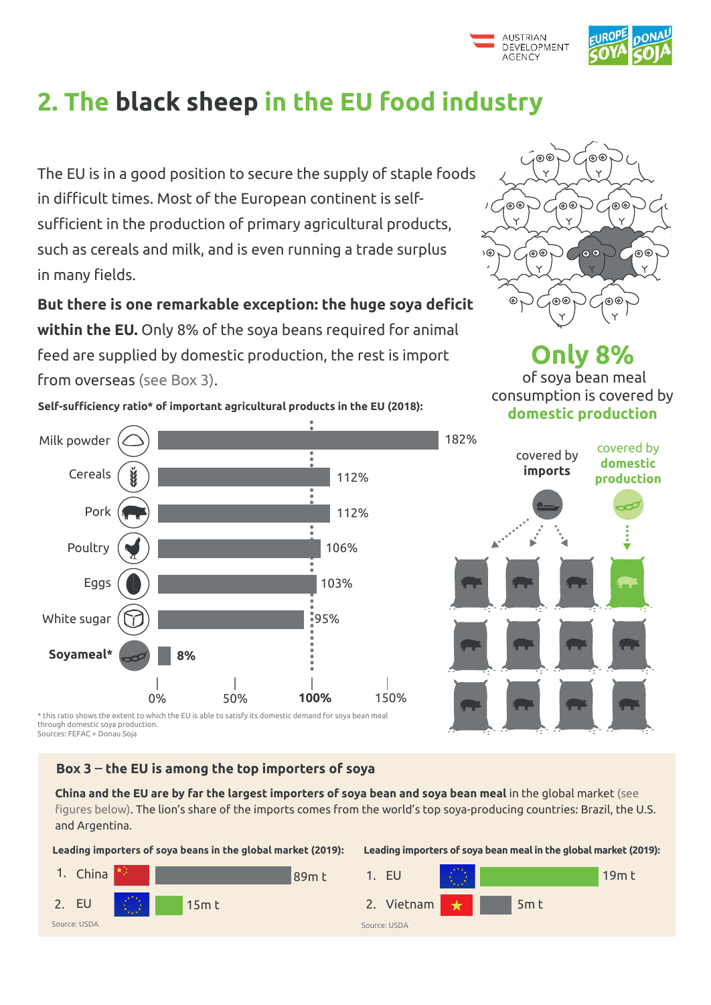



# **2. The black sheep in the EU food industry**

The EU is in a good position to secure the supply of staple foods in difficult times. Most of the European continent is selfsufficient in the production of primary agricultural products, such as cereals and milk, and is even running a trade surplus in many fields.

**But there is one remarkable exception: the huge soya deficit within the EU.** Only 8% of the soya beans required for animal feed are supplied by domestic production, the rest is import from overseas (see Box 3).



**Self-sufficiency ratio\* of important agricultural products in the EU (2018):**

\* this ratio shows the extent to which the EU is able to satisfy its domestic demand for soya bean meal through domestic soya production. Sources: FEFAC + Donau Soja



**Only 8%** of soya bean meal consumption is covered by **domestic production**





#### **Leading importers of soya beans in the global market (2019):**

#### **Box 3** – **the EU is among the top importers of soya**

**China and the EU are by far the largest importers of soya bean and soya bean meal** in the global market (see figures below). The lion's share of the imports comes from the world's top soya-producing countries: Brazil, the U.S. and Argentina.



#### **Leading importers of soya bean meal in the global market (2019):**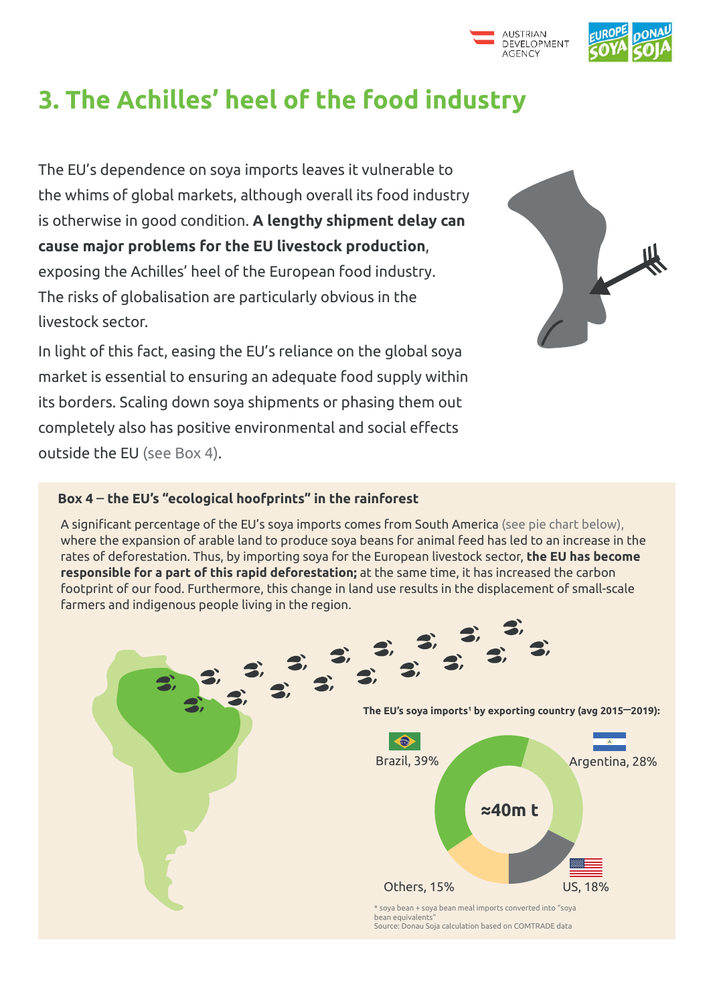

# **3. The Achilles' heel of the food industry**

The EU's dependence on soya imports leaves it vulnerable to the whims of global markets, although overall its food industry is otherwise in good condition. **A lengthy shipment delay can cause major problems for the EU livestock production**, exposing the Achilles' heel of the European food industry. The risks of globalisation are particularly obvious in the livestock sector.

In light of this fact, easing the EU's reliance on the global soya market is essential to ensuring an adequate food supply within its borders. Scaling down soya shipments or phasing them out completely also has positive environmental and social effects outside the EU (see Box 4).



### **Box 4** – **the EU's "ecological hoofprints" in the rainforest**

A significant percentage of the EU's soya imports comes from South America (see pie chart below), where the expansion of arable land to produce soya beans for animal feed has led to an increase in the rates of deforestation. Thus, by importing soya for the European livestock sector, **the EU has become responsible for a part of this rapid deforestation;** at the same time, it has increased the carbon footprint of our food. Furthermore, this change in land use results in the displacement of small-scale farmers and indigenous people living in the region.

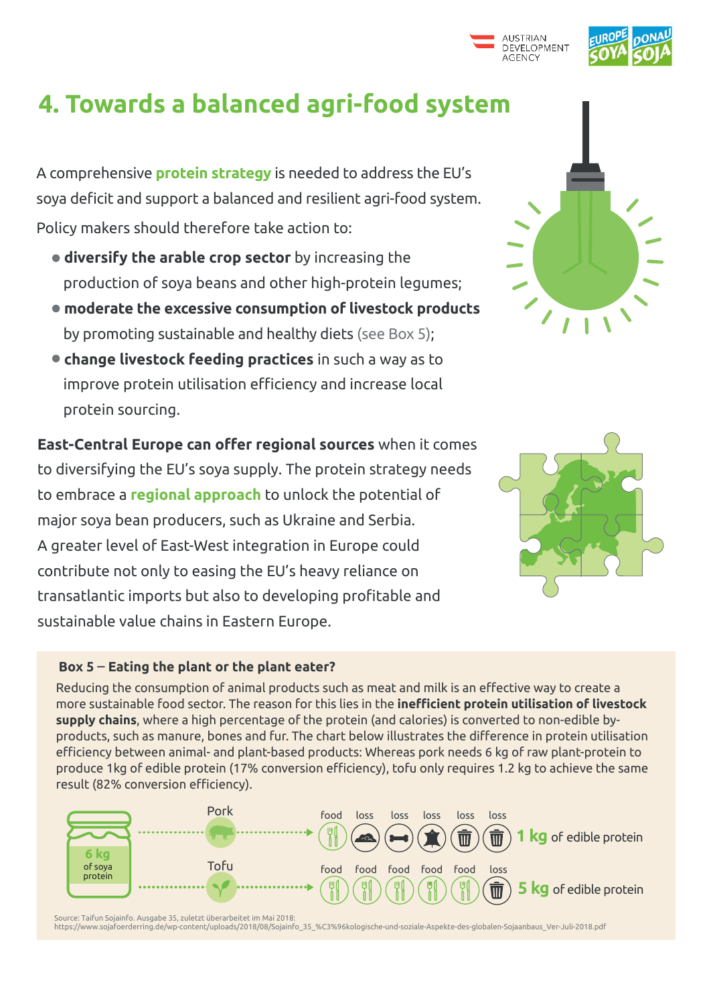



## **4. Towards a balanced agri-food system**

A comprehensive **protein strategy** is needed to address the EU's soya deficit and support a balanced and resilient agri-food system. Policy makers should therefore take action to:

- **diversify the arable crop sector** by increasing the production of soya beans and other high-protein legumes;
- **moderate the excessive consumption of livestock products**  by promoting sustainable and healthy diets (see Box 5);
- **change livestock feeding practices** in such a way as to improve protein utilisation efficiency and increase local protein sourcing.

**East-Central Europe can offer regional sources** when it comes to diversifying the EU's soya supply. The protein strategy needs to embrace a **regional approach** to unlock the potential of major soya bean producers, such as Ukraine and Serbia. A greater level of East-West integration in Europe could contribute not only to easing the EU's heavy reliance on transatlantic imports but also to developing profitable and sustainable value chains in Eastern Europe.

### **Box 5** – **Eating the plant or the plant eater?**

Reducing the consumption of animal products such as meat and milk is an effective way to create a more sustainable food sector. The reason for this lies in the **inefficient protein utilisation of livestock supply chains**, where a high percentage of the protein (and calories) is converted to non-edible byproducts, such as manure, bones and fur. The chart below illustrates the difference in protein utilisation efficiency between animal- and plant-based products: Whereas pork needs 6 kg of raw plant-protein to





produce 1kg of edible protein (17% conversion efficiency), tofu only requires 1.2 kg to achieve the same result (82% conversion efficiency).



Source: Taifun Sojainfo. Ausgabe 35, zuletzt überarbeitet im Mai 2018:

https://www.sojafoerderring.de/wp-content/uploads/2018/08/Sojainfo\_35\_%C3%96kologische-und-soziale-Aspekte-des-globalen-Sojaanbaus\_Ver-Juli-2018.pdf